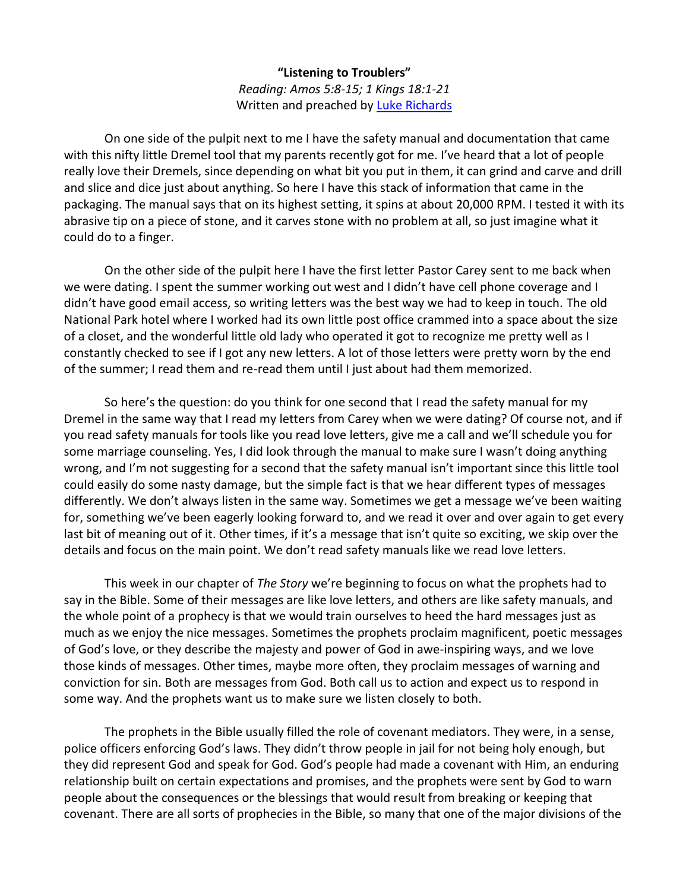## **"Listening to Troublers"** *Reading: Amos 5:8-15; 1 Kings 18:1-21* Written and preached by [Luke Richards](http://www.lukerichards.blogspot.com/)

On one side of the pulpit next to me I have the safety manual and documentation that came with this nifty little Dremel tool that my parents recently got for me. I've heard that a lot of people really love their Dremels, since depending on what bit you put in them, it can grind and carve and drill and slice and dice just about anything. So here I have this stack of information that came in the packaging. The manual says that on its highest setting, it spins at about 20,000 RPM. I tested it with its abrasive tip on a piece of stone, and it carves stone with no problem at all, so just imagine what it could do to a finger.

On the other side of the pulpit here I have the first letter Pastor Carey sent to me back when we were dating. I spent the summer working out west and I didn't have cell phone coverage and I didn't have good email access, so writing letters was the best way we had to keep in touch. The old National Park hotel where I worked had its own little post office crammed into a space about the size of a closet, and the wonderful little old lady who operated it got to recognize me pretty well as I constantly checked to see if I got any new letters. A lot of those letters were pretty worn by the end of the summer; I read them and re-read them until I just about had them memorized.

So here's the question: do you think for one second that I read the safety manual for my Dremel in the same way that I read my letters from Carey when we were dating? Of course not, and if you read safety manuals for tools like you read love letters, give me a call and we'll schedule you for some marriage counseling. Yes, I did look through the manual to make sure I wasn't doing anything wrong, and I'm not suggesting for a second that the safety manual isn't important since this little tool could easily do some nasty damage, but the simple fact is that we hear different types of messages differently. We don't always listen in the same way. Sometimes we get a message we've been waiting for, something we've been eagerly looking forward to, and we read it over and over again to get every last bit of meaning out of it. Other times, if it's a message that isn't quite so exciting, we skip over the details and focus on the main point. We don't read safety manuals like we read love letters.

This week in our chapter of *The Story* we're beginning to focus on what the prophets had to say in the Bible. Some of their messages are like love letters, and others are like safety manuals, and the whole point of a prophecy is that we would train ourselves to heed the hard messages just as much as we enjoy the nice messages. Sometimes the prophets proclaim magnificent, poetic messages of God's love, or they describe the majesty and power of God in awe-inspiring ways, and we love those kinds of messages. Other times, maybe more often, they proclaim messages of warning and conviction for sin. Both are messages from God. Both call us to action and expect us to respond in some way. And the prophets want us to make sure we listen closely to both.

The prophets in the Bible usually filled the role of covenant mediators. They were, in a sense, police officers enforcing God's laws. They didn't throw people in jail for not being holy enough, but they did represent God and speak for God. God's people had made a covenant with Him, an enduring relationship built on certain expectations and promises, and the prophets were sent by God to warn people about the consequences or the blessings that would result from breaking or keeping that covenant. There are all sorts of prophecies in the Bible, so many that one of the major divisions of the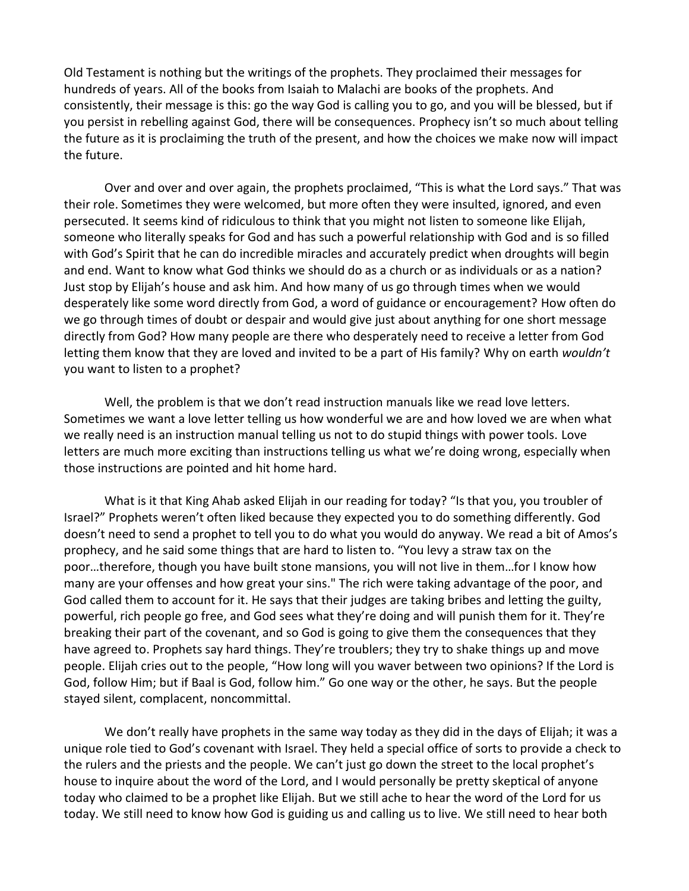Old Testament is nothing but the writings of the prophets. They proclaimed their messages for hundreds of years. All of the books from Isaiah to Malachi are books of the prophets. And consistently, their message is this: go the way God is calling you to go, and you will be blessed, but if you persist in rebelling against God, there will be consequences. Prophecy isn't so much about telling the future as it is proclaiming the truth of the present, and how the choices we make now will impact the future.

Over and over and over again, the prophets proclaimed, "This is what the Lord says." That was their role. Sometimes they were welcomed, but more often they were insulted, ignored, and even persecuted. It seems kind of ridiculous to think that you might not listen to someone like Elijah, someone who literally speaks for God and has such a powerful relationship with God and is so filled with God's Spirit that he can do incredible miracles and accurately predict when droughts will begin and end. Want to know what God thinks we should do as a church or as individuals or as a nation? Just stop by Elijah's house and ask him. And how many of us go through times when we would desperately like some word directly from God, a word of guidance or encouragement? How often do we go through times of doubt or despair and would give just about anything for one short message directly from God? How many people are there who desperately need to receive a letter from God letting them know that they are loved and invited to be a part of His family? Why on earth *wouldn't* you want to listen to a prophet?

Well, the problem is that we don't read instruction manuals like we read love letters. Sometimes we want a love letter telling us how wonderful we are and how loved we are when what we really need is an instruction manual telling us not to do stupid things with power tools. Love letters are much more exciting than instructions telling us what we're doing wrong, especially when those instructions are pointed and hit home hard.

What is it that King Ahab asked Elijah in our reading for today? "Is that you, you troubler of Israel?" Prophets weren't often liked because they expected you to do something differently. God doesn't need to send a prophet to tell you to do what you would do anyway. We read a bit of Amos's prophecy, and he said some things that are hard to listen to. "You levy a straw tax on the poor…therefore, though you have built stone mansions, you will not live in them…for I know how many are your offenses and how great your sins." The rich were taking advantage of the poor, and God called them to account for it. He says that their judges are taking bribes and letting the guilty, powerful, rich people go free, and God sees what they're doing and will punish them for it. They're breaking their part of the covenant, and so God is going to give them the consequences that they have agreed to. Prophets say hard things. They're troublers; they try to shake things up and move people. Elijah cries out to the people, "How long will you waver between two opinions? If the Lord is God, follow Him; but if Baal is God, follow him." Go one way or the other, he says. But the people stayed silent, complacent, noncommittal.

We don't really have prophets in the same way today as they did in the days of Elijah; it was a unique role tied to God's covenant with Israel. They held a special office of sorts to provide a check to the rulers and the priests and the people. We can't just go down the street to the local prophet's house to inquire about the word of the Lord, and I would personally be pretty skeptical of anyone today who claimed to be a prophet like Elijah. But we still ache to hear the word of the Lord for us today. We still need to know how God is guiding us and calling us to live. We still need to hear both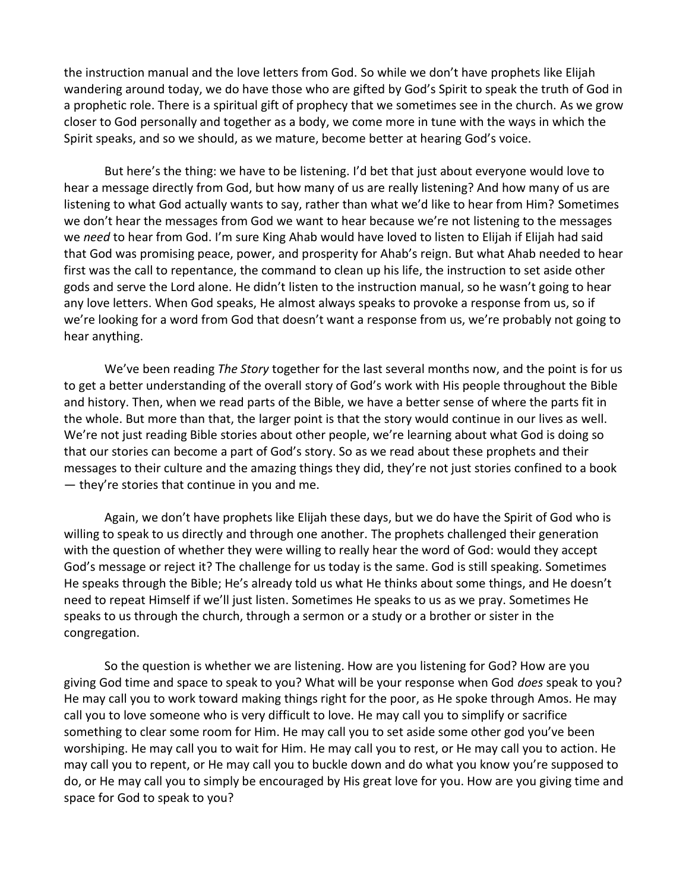the instruction manual and the love letters from God. So while we don't have prophets like Elijah wandering around today, we do have those who are gifted by God's Spirit to speak the truth of God in a prophetic role. There is a spiritual gift of prophecy that we sometimes see in the church. As we grow closer to God personally and together as a body, we come more in tune with the ways in which the Spirit speaks, and so we should, as we mature, become better at hearing God's voice.

But here's the thing: we have to be listening. I'd bet that just about everyone would love to hear a message directly from God, but how many of us are really listening? And how many of us are listening to what God actually wants to say, rather than what we'd like to hear from Him? Sometimes we don't hear the messages from God we want to hear because we're not listening to the messages we *need* to hear from God. I'm sure King Ahab would have loved to listen to Elijah if Elijah had said that God was promising peace, power, and prosperity for Ahab's reign. But what Ahab needed to hear first was the call to repentance, the command to clean up his life, the instruction to set aside other gods and serve the Lord alone. He didn't listen to the instruction manual, so he wasn't going to hear any love letters. When God speaks, He almost always speaks to provoke a response from us, so if we're looking for a word from God that doesn't want a response from us, we're probably not going to hear anything.

We've been reading *The Story* together for the last several months now, and the point is for us to get a better understanding of the overall story of God's work with His people throughout the Bible and history. Then, when we read parts of the Bible, we have a better sense of where the parts fit in the whole. But more than that, the larger point is that the story would continue in our lives as well. We're not just reading Bible stories about other people, we're learning about what God is doing so that our stories can become a part of God's story. So as we read about these prophets and their messages to their culture and the amazing things they did, they're not just stories confined to a book — they're stories that continue in you and me.

Again, we don't have prophets like Elijah these days, but we do have the Spirit of God who is willing to speak to us directly and through one another. The prophets challenged their generation with the question of whether they were willing to really hear the word of God: would they accept God's message or reject it? The challenge for us today is the same. God is still speaking. Sometimes He speaks through the Bible; He's already told us what He thinks about some things, and He doesn't need to repeat Himself if we'll just listen. Sometimes He speaks to us as we pray. Sometimes He speaks to us through the church, through a sermon or a study or a brother or sister in the congregation.

So the question is whether we are listening. How are you listening for God? How are you giving God time and space to speak to you? What will be your response when God *does* speak to you? He may call you to work toward making things right for the poor, as He spoke through Amos. He may call you to love someone who is very difficult to love. He may call you to simplify or sacrifice something to clear some room for Him. He may call you to set aside some other god you've been worshiping. He may call you to wait for Him. He may call you to rest, or He may call you to action. He may call you to repent, or He may call you to buckle down and do what you know you're supposed to do, or He may call you to simply be encouraged by His great love for you. How are you giving time and space for God to speak to you?